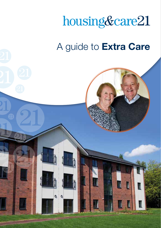# housing&care21

## A guide to Extra Care

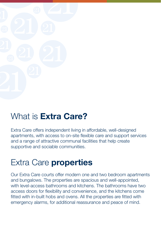#### What is **Extra Care?**

Extra Care offers independent living in affordable, well-designed apartments, with access to on-site flexible care and support services and a range of attractive communal facilities that help create supportive and sociable communities.

#### **Extra Care properties**

Our Extra Care courts offer modern one and two bedroom apartments and bungalows. The properties are spacious and well-appointed, with level-access bathrooms and kitchens. The bathrooms have two access doors for flexibility and convenience, and the kitchens come fitted with in-built hobs and ovens. All the properties are fitted with emergency alarms, for additional reassurance and peace of mind.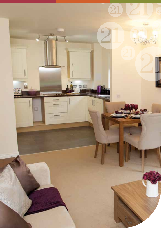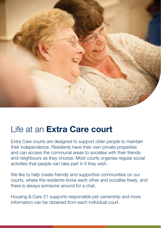

#### Life at an **Extra Care court**

Extra Care courts are designed to support older people to maintain their independence. Residents have their own private properties and can access the communal areas to socialise with their friends and neighbours as they choose. Most courts organise regular social activities that people can take part in if they wish.

We like to help create friendly and supportive communities on our courts, where the residents know each other and socialise freely, and there is always someone around for a chat.

Housing & Care 21 supports responsible pet ownership and more information can be obtained from each individual court.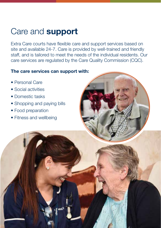#### Care and support

Extra Care courts have flexible care and support services based on site and available 24-7. Care is provided by well-trained and friendly staff, and is tailored to meet the needs of the individual residents. Our care services are regulated by the Care Quality Commission (CQC).

#### The care services can support with:

- Personal Care
- Social activities
- Domestic tasks
- Shopping and paying bills
- Food preparation
- Fitness and wellbeing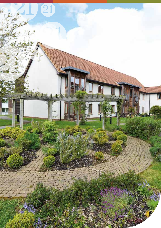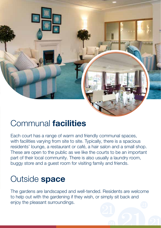

#### Communal facilities

Each court has a range of warm and friendly communal spaces, with facilities varying from site to site. Typically, there is a spacious residents' lounge, a restaurant or café, a hair salon and a small shop. These are open to the public as we like the courts to be an important part of their local community. There is also usually a laundry room, buggy store and a guest room for visiting family and friends.

#### Outside space

The gardens are landscaped and well-tended. Residents are welcome to help out with the gardening if they wish, or simply sit back and enjoy the pleasant surroundings.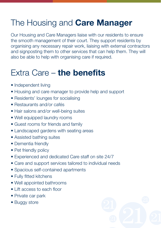#### The Housing and **Care Manager**

Our Housing and Care Managers liaise with our residents to ensure the smooth management of their court. They support residents by organising any necessary repair work, liaising with external contractors and signposting them to other services that can help them. They will also be able to help with organising care if required.

#### Extra Care – the benefits

- Independent living
- Housing and care manager to provide help and support
- Residents' lounges for socialising
- Restaurants and/or cafés
- Hair salons and/or well-being suites
- Well equipped laundry rooms
- Guest rooms for friends and family
- Landscaped gardens with seating areas
- Assisted bathing suites
- Dementia friendly
- Pet friendly policy
- Experienced and dedicated Care staff on site 24/7
- Care and support services tailored to individual needs
- Spacious self-contained apartments
- Fully fitted kitchens
- Well appointed bathrooms
- Lift access to each floor
- Private car park
- Buggy store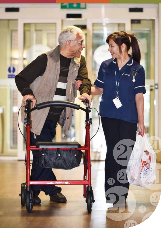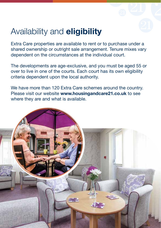#### Availability and **eligibility**

Extra Care properties are available to rent or to purchase under a shared ownership or outright sale arrangement. Tenure mixes vary dependent on the circumstances at the individual court.

The developments are age-exclusive, and you must be aged 55 or over to live in one of the courts. Each court has its own eligibility criteria dependent upon the local authority.

We have more than 120 Extra Care schemes around the country. Please visit our website www.housingandcare21.co.uk to see where they are and what is available.

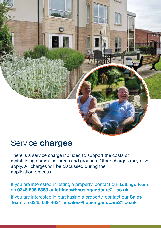

#### Service charges

There is a service charge included to support the costs of maintaining communal areas and grounds. Other charges may also apply. All charges will be discussed during the application process.

If you are interested in letting a property, contact our Lettings Team on 0345 606 6363 or lettings@housingandcare21.co.uk If you are interested in purchasing a property, contact our **Sales** Team on 0345 608 4021 or sales@housingandcare21.co.uk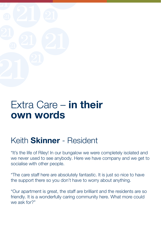

### Extra Care - in their own words

#### Keith **Skinner** - Resident

"It's the life of Riley! In our bungalow we were completely isolated and we never used to see anybody. Here we have company and we get to socialise with other people.

"The care staff here are absolutely fantastic. It is just so nice to have the support there so you don't have to worry about anything.

"Our apartment is great, the staff are brilliant and the residents are so friendly. It is a wonderfully caring community here. What more could we ask for?"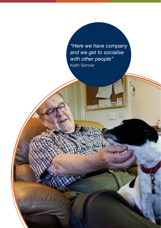*"Here we have company and we get to socialise with other people"* Keith Skinner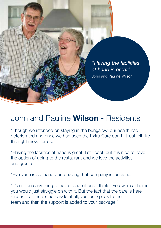*"Having the facilities at hand is great"* John and Pauline Wilson

#### John and Pauline **Wilson** - Residents

"Though we intended on staying in the bungalow, our health had deteriorated and once we had seen the Extra Care court, it just felt like the right move for us.

"Having the facilities at hand is great. I still cook but it is nice to have the option of going to the restaurant and we love the activities and groups.

"Everyone is so friendly and having that company is fantastic.

"It's not an easy thing to have to admit and I think if you were at home you would just struggle on with it. But the fact that the care is here means that there's no hassle at all, you just speak to the team and then the support is added to your package."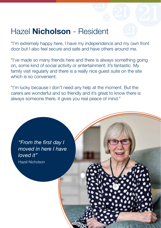#### Hazel **Nicholson** - Resident

"I'm extremely happy here, I have my independence and my own front door but I also feel secure and safe and have others around me.

"I've made so many friends here and there is always something going on, some kind of social activity or entertainment; it's fantastic. My family visit regularly and there is a really nice guest suite on the site which is so convenient.

"I'm lucky because I don't need any help at the moment. But the carers are wonderful and so friendly and it's great to know there is always someone there, it gives you real peace of mind."

*"From the first day I moved in here I have loved it"*

Hazel Nicholson